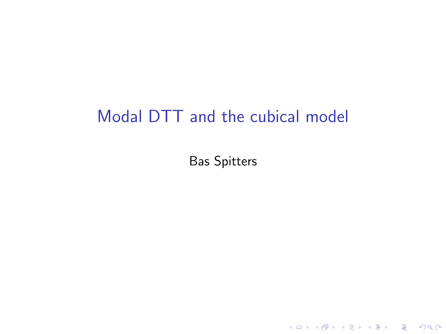## Modal DTT and the cubical model

Bas Spitters

K ロ ▶ K @ ▶ K 할 ▶ K 할 ▶ . 할 . ⊙ Q Q ^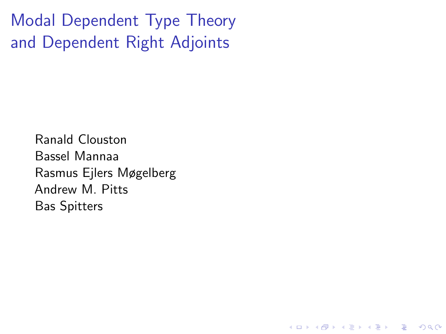Modal Dependent Type Theory and Dependent Right Adjoints

> Ranald Clouston Bassel Mannaa Rasmus Ejlers Møgelberg Andrew M. Pitts Bas Spitters

> > **KORK ERKER ADAM ADA**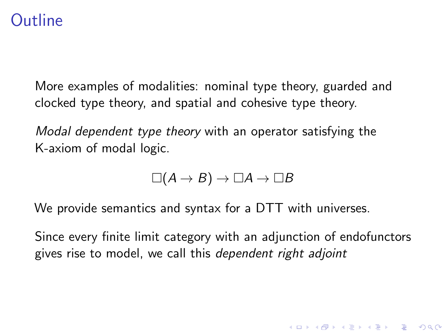### **Outline**

More examples of modalities: nominal type theory, guarded and clocked type theory, and spatial and cohesive type theory.

Modal dependent type theory with an operator satisfying the K-axiom of modal logic.

$$
\Box(A \to B) \to \Box A \to \Box B
$$

We provide semantics and syntax for a DTT with universes.

Since every finite limit category with an adjunction of endofunctors gives rise to model, we call this dependent right adjoint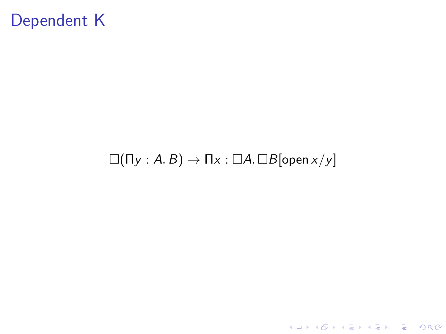## Dependent K

#### $\square(\Pi y : A. B) \rightarrow \Pi x : \square A. \square B$ [open  $x/y$ ]

K ロ ▶ K @ ▶ K 할 ▶ K 할 ▶ . 할 . ⊙ Q Q ^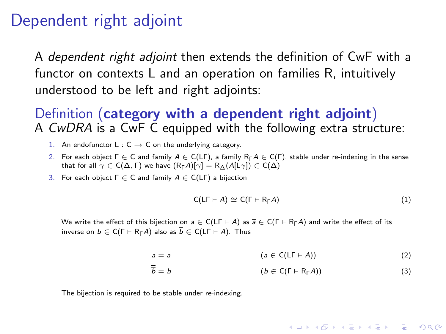#### Dependent right adjoint

A dependent right adjoint then extends the definition of CwF with a functor on contexts L and an operation on families R, intuitively understood to be left and right adjoints:

Definition (category with a dependent right adjoint) A CwDRA is a CwF C equipped with the following extra structure:

- 1. An endofunctor L :  $C \rightarrow C$  on the underlying category.
- 2. For each object  $\Gamma \in \mathsf{C}$  and family  $A \in \mathsf{C}(\Gamma)$ , a family  $R_{\Gamma}A \in \mathsf{C}(\Gamma)$ , stable under re-indexing in the sense that for all  $\gamma \in C(\Delta, \Gamma)$  we have  $(R_{\Gamma}A)[\gamma] = R_{\Delta}(A[L\gamma]) \in C(\Delta)$
- 3. For each object  $\Gamma \in \mathsf{C}$  and family  $A \in \mathsf{C}(\mathsf{L}\Gamma)$  a bijection

$$
C(L\Gamma \vdash A) \cong C(\Gamma \vdash R_{\Gamma}A) \tag{1}
$$

**KORKARYKERKER POLO** 

We write the effect of this bijection on  $a \in C(\Gamma \vdash A)$  as  $\overline{a} \in C(\Gamma \vdash R_{\Gamma}A)$  and write the effect of its inverse on  $b \in C(\Gamma \vdash R_{\Gamma} A)$  also as  $\overline{b} \in C(\Gamma \vdash A)$ . Thus

$$
\overline{\overline{a}} = a \qquad (a \in C(L\Gamma \vdash A)) \qquad (2)
$$

$$
\overline{\overline{b}} = b \qquad (b \in C(\Gamma \vdash R_{\Gamma} A)) \tag{3}
$$

The bijection is required to be stable under re-indexing.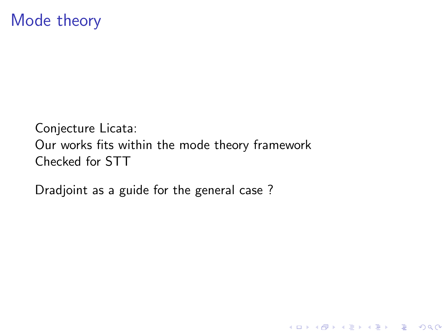### Mode theory

Conjecture Licata: Our works fits within the mode theory framework Checked for STT

K ロ ▶ K 個 ▶ K 할 ▶ K 할 ▶ 이 할 → 9 Q Q →

Dradjoint as a guide for the general case ?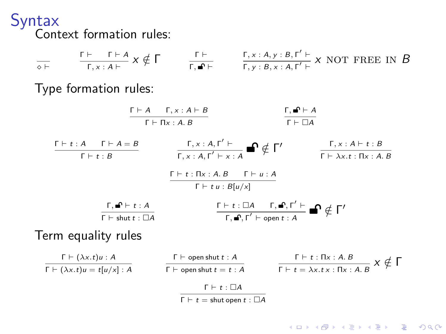Syntax Context formation rules:

| $\overline{c}$                                                                                                                                                       | $\Gamma \vdash$                                                                                     | $\Gamma \vdash$                                                                                                            | $\Gamma \vdash$                                                               | $\Gamma, x : A, y : B, r' \vdash$ |
|----------------------------------------------------------------------------------------------------------------------------------------------------------------------|-----------------------------------------------------------------------------------------------------|----------------------------------------------------------------------------------------------------------------------------|-------------------------------------------------------------------------------|-----------------------------------|
| Type formation rules:                                                                                                                                                |                                                                                                     |                                                                                                                            |                                                                               |                                   |
| $\frac{\Gamma \vdash A \quad \Gamma, x : A \vdash B}{\Gamma \vdash \Pi x : A, B}$                                                                                    | $\frac{\Gamma, \blacksquare \vdash A}{\Gamma \vdash \Box A}$                                        |                                                                                                                            |                                                                               |                                   |
| $\frac{\Gamma \vdash t : A \quad \Gamma \vdash A = B}{\Gamma \vdash t : B}$                                                                                          | $\frac{\Gamma, x : A, r' \vdash}{\Gamma, x : A, r' \vdash x : A}$                                   | $\frac{\Gamma, x : A \vdash t : B}{\Gamma \vdash \Delta x : t : \Pi x : A, B}$                                             |                                                                               |                                   |
| $\frac{\Gamma \vdash t : \Pi x : A, B \quad \Gamma \vdash u : A}{\Gamma \vdash t : B \quad \Gamma \vdash t : B \quad \Gamma \vdash t : B \quad \Gamma \vdash t : A}$ |                                                                                                     |                                                                                                                            |                                                                               |                                   |
| T \vdash t : A                                                                                                                                                       |                                                                                                     | $\frac{\Gamma \vdash t : \Box A \quad \Gamma, \blacksquare, r' \vdash}{\Gamma, \blacksquare, r' \vdash \text{open} t : A}$ |                                                                               |                                   |
| Term equality rules                                                                                                                                                  |                                                                                                     |                                                                                                                            |                                                                               |                                   |
| $\frac{\Gamma \vdash (\lambda x : t) u : A}{\Gamma \vdash (\lambda x : t) u = t [u/x] : A}$                                                                          | $\frac{\Gamma \vdash \text{open} \text{shut } t : A}{\Gamma \vdash \text{open} \text{shut } t : A}$ | $\frac{\Gamma \vdash t : \Pi x : A, B}{\Gamma \vdash t : \Delta x : t : \Pi x : A, B} \times \varphi \Gamma$               |                                                                               |                                   |
| T \vdash t : \Box A                                                                                                                                                  |                                                                                                     | $\frac{\Gamma \vdash \text{open} \text{shut } t : A}{\Gamma \vdash \text{open} \text{shut } t = t : A}$                    | $\frac{\Gamma \vdash t : \Pi x : A, B}{\Gamma \vdash t = \lambda x : t : \Pi$ |                                   |

 $\overline{\Gamma \vdash t} =$  shut open  $t : \Box A$ 

K ロ ▶ K @ ▶ K 할 ▶ K 할 ▶ . 할 . ⊙ Q Q ^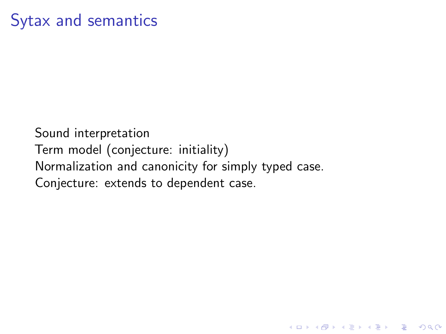## Sytax and semantics

Sound interpretation Term model (conjecture: initiality) Normalization and canonicity for simply typed case. Conjecture: extends to dependent case.

K ロ ▶ K 個 ▶ K 할 ▶ K 할 ▶ 이 할 → 9 Q Q →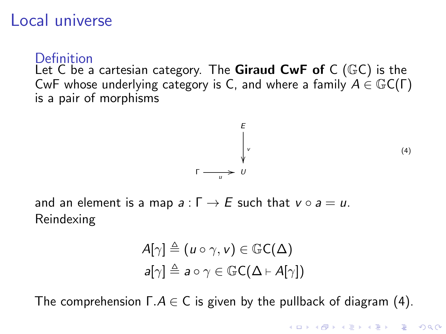#### Local universe

Definition

Let C be a cartesian category. The **Giraud CwF of** C ( $\mathbb{G}C$ ) is the CwF whose underlying category is C, and where a family  $A \in \mathbb{G}C(\Gamma)$ is a pair of morphisms

$$
\begin{array}{ccc}\nE \\
\downarrow \\
\downarrow \\
\downarrow\n\end{array} \tag{4}
$$

**KORKARYKERKER POLO** 

<span id="page-8-0"></span>and an element is a map  $a: \Gamma \rightarrow E$  such that  $v \circ a = u$ . Reindexing

Γ

$$
A[\gamma] \triangleq (u \circ \gamma, v) \in \mathbb{G}C(\Delta)
$$

$$
a[\gamma] \triangleq a \circ \gamma \in \mathbb{G}C(\Delta \vdash A[\gamma])
$$

The comprehension  $\Gamma.A \in \mathsf{C}$  is given by the pullback of diagram [\(4\)](#page-8-0).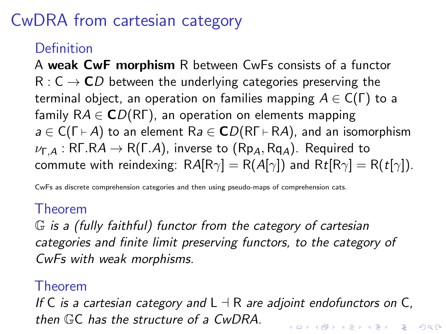# CwDRA from cartesian category

#### Definition

A weak CwF morphism R between CwFs consists of a functor  $R: C \rightarrow CD$  between the underlying categories preserving the terminal object, an operation on families mapping  $A \in C(\Gamma)$  to a family  $RA \in CD(R\Gamma)$ , an operation on elements mapping  $a \in C(\Gamma \vdash A)$  to an element  $Ra \in CD(R\Gamma \vdash RA)$ , and an isomorphism  $\nu_{\Gamma,A}:$  RF.RA  $\rightarrow$  R(F.A), inverse to (Rp<sub>A</sub>, Rq<sub>A</sub>). Required to commute with reindexing:  $RA[R\gamma] = R(A[\gamma])$  and  $Rt[R\gamma] = R(t[\gamma]).$ 

CwFs as discrete comprehension categories and then using pseudo-maps of comprehension cats.

#### Theorem

G is a (fully faithful) functor from the category of cartesian categories and finite limit preserving functors, to the category of CwFs with weak morphisms.

#### Theorem

If C is a cartesian category and  $L \dashv R$  are adjoint endofunctors on C, then GC has the structure of a CwDRA.**KORKAR KERKER SAGA**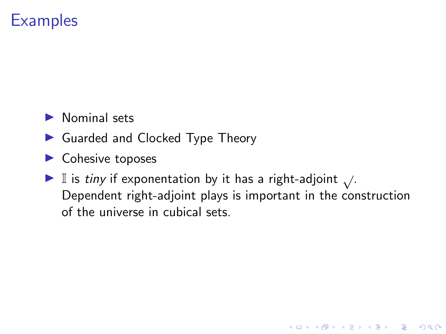### **Examples**

- $\blacktriangleright$  Nominal sets
- ▶ Guarded and Clocked Type Theory
- $\blacktriangleright$  Cohesive toposes
- ► I is tiny if exponentation by it has a right-adjoint  $\sqrt{ }$ . Dependent right-adjoint plays is important in the construction of the universe in cubical sets.

K ロ ▶ K 個 ▶ K 할 ▶ K 할 ▶ 이 할 → 9 Q Q →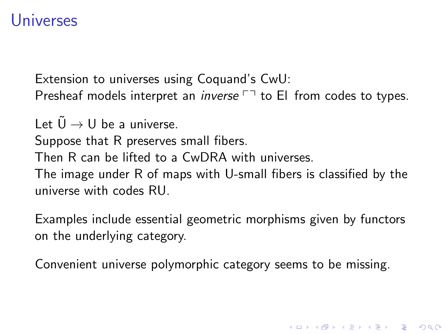#### Universes

Extension to universes using Coquand's CwU: Presheaf models interpret an *inverse*  $\Box$  to El from codes to types.

Let  $\tilde{U} \rightarrow U$  be a universe.

Suppose that R preserves small fibers.

Then R can be lifted to a CwDRA with universes.

The image under R of maps with U-small fibers is classified by the universe with codes RU.

Examples include essential geometric morphisms given by functors on the underlying category.

Convenient universe polymorphic category seems to be missing.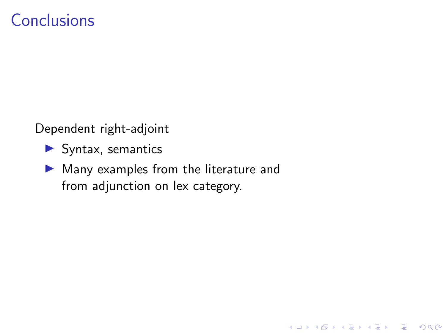### **Conclusions**

Dependent right-adjoint

- $\blacktriangleright$  Syntax, semantics
- $\blacktriangleright$  Many examples from the literature and from adjunction on lex category.

K ロ ▶ K 個 ▶ K 할 ▶ K 할 ▶ 이 할 → 9 Q Q →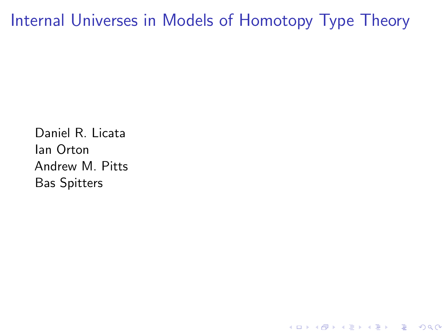Internal Universes in Models of Homotopy Type Theory

Daniel R. Licata Ian Orton Andrew M. Pitts Bas Spitters

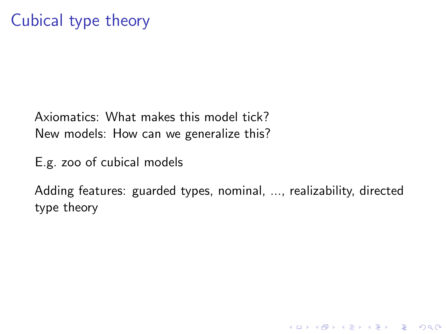Axiomatics: What makes this model tick? New models: How can we generalize this?

E.g. zoo of cubical models

Adding features: guarded types, nominal, ..., realizability, directed type theory

**KORK ERKER ADAM ADA**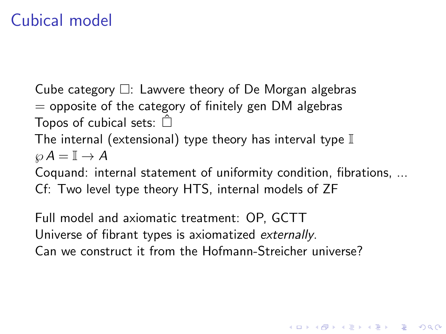## Cubical model

Cube category  $\Box$ : Lawvere theory of De Morgan algebras  $=$  opposite of the category of finitely gen DM algebras Topos of cubical sets:  $\hat{\Box}$ The internal (extensional) type theory has interval type  $\mathbb I$  $\wp A = \mathbb{I} \to A$ Coquand: internal statement of uniformity condition, fibrations, ...

Cf: Two level type theory HTS, internal models of ZF

Full model and axiomatic treatment: OP, GCTT Universe of fibrant types is axiomatized externally. Can we construct it from the Hofmann-Streicher universe?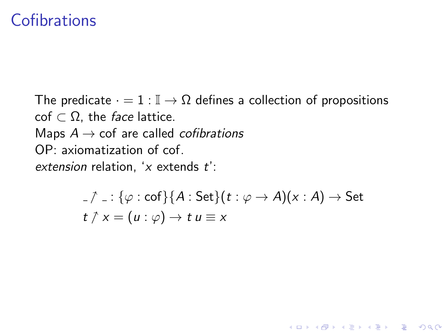#### **Cofibrations**

The predicate  $\cdot = 1 : \mathbb{I} \to \Omega$  defines a collection of propositions  $\text{cof } \subset \Omega$ , the *face* lattice. Maps  $A \rightarrow \text{cof}$  are called *cofibrations* OP: axiomatization of cof. extension relation,  $x$  extends  $t$ .

$$
\begin{aligned}\n\text{-}\n\gamma &= : \{\varphi : \text{cof}\}\{A : \text{Set}\}(t : \varphi \to A)(x : A) \to \text{Set}\n\end{aligned}
$$
\n
$$
t \uparrow x = (u : \varphi) \to t \, u \equiv x
$$

K ロ ▶ K 個 ▶ K 할 ▶ K 할 ▶ 이 할 → 9 Q Q →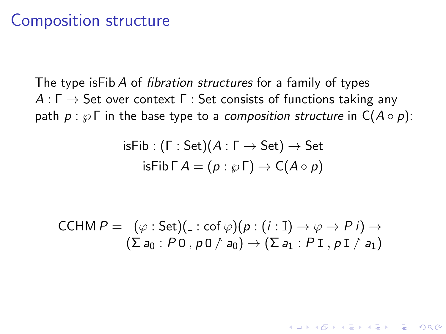#### Composition structure

The type is Fib A of *fibration structures* for a family of types  $A: \Gamma \rightarrow$  Set over context  $\Gamma$  : Set consists of functions taking any path  $p : \wp \Gamma$  in the base type to a *composition structure* in  $C(A \circ p)$ :

$$
\mathsf{isFib} : (\Gamma : \mathsf{Set})(A : \Gamma \to \mathsf{Set}) \to \mathsf{Set}
$$
  

$$
\mathsf{isFib} \, \Gamma \, A = (p : \wp \, \Gamma) \to \mathsf{C}(A \circ \rho)
$$

$$
CCHM P = (\varphi : Set)(\_: cof \varphi)(p : (i : \mathbb{I}) \to \varphi \to P i) \to
$$
  

$$
(\Sigma a_0 : P 0, p 0 \uparrow a_0) \to (\Sigma a_1 : P 1, p 1 \uparrow a_1)
$$

**KORKARYKERKER POLO**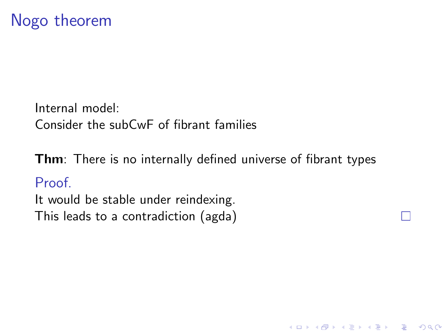Internal model: Consider the subCwF of fibrant families

**Thm**: There is no internally defined universe of fibrant types

K ロ ▶ K 個 ▶ K 할 ▶ K 할 ▶ 이 할 → 9 Q Q →

#### Proof.

It would be stable under reindexing. This leads to a contradiction (agda)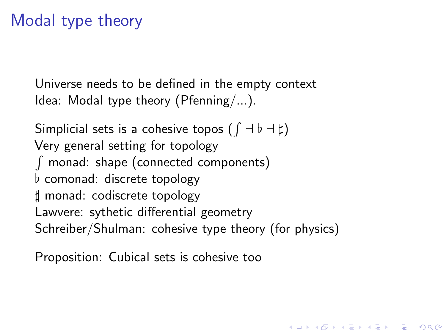## Modal type theory

Universe needs to be defined in the empty context Idea: Modal type theory (Pfenning/...).

Simplicial sets is a cohesive topos  $(\int \dashv \flat \dashv \sharp)$ Very general setting for topology  $\int$  monad: shape (connected components)  $\flat$  comonad: discrete topology ] monad: codiscrete topology Lawvere: sythetic differential geometry Schreiber/Shulman: cohesive type theory (for physics)

**KORKAR KERKER SAGA** 

Proposition: Cubical sets is cohesive too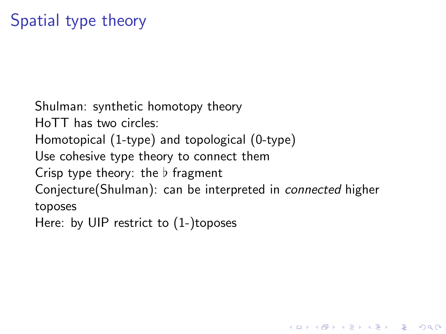Shulman: synthetic homotopy theory HoTT has two circles: Homotopical (1-type) and topological (0-type) Use cohesive type theory to connect them Crisp type theory: the  $\flat$  fragment Conjecture(Shulman): can be interpreted in connected higher toposes Here: by UIP restrict to (1-)toposes

**KORKARYKERKER POLO**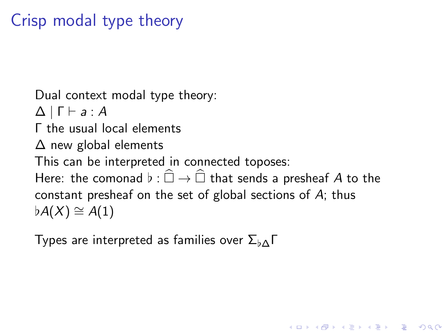# Crisp modal type theory

Dual context modal type theory:  $\Delta$  |  $\Gamma \vdash a : A$ Γ the usual local elements ∆ new global elements This can be interpreted in connected toposes: Here: the comonad  $\flat : \widehat{\Box} \to \widehat{\Box}$  that sends a presheaf A to the constant presheaf on the set of global sections of A; thus  $\flat A(X) \cong A(1)$ 

**KORKARYKERKER POLO** 

Types are interpreted as families over  $\Sigma_{\text{bA}}\Gamma$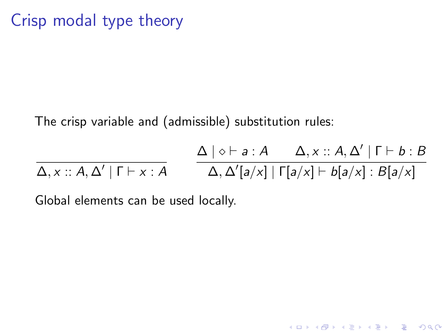Crisp modal type theory

The crisp variable and (admissible) substitution rules:

$$
\Delta, x :: A, \Delta' | \Gamma \vdash x : A
$$
\n
$$
\Delta, \Delta' | \Gamma \vdash x : A
$$
\n
$$
\Delta, \Delta' | a/x | | \Gamma[a/x] \vdash b[a/x] : B[a/x]
$$

Global elements can be used locally.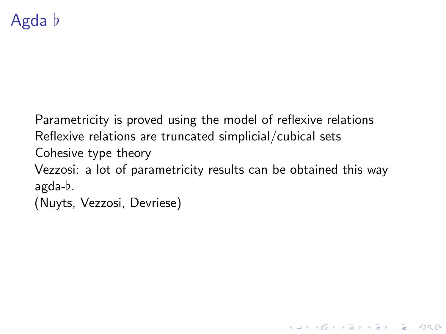Parametricity is proved using the model of reflexive relations Reflexive relations are truncated simplicial/cubical sets Cohesive type theory Vezzosi: a lot of parametricity results can be obtained this way  $a$ gda- $b$ . (Nuyts, Vezzosi, Devriese)

4 0 > 4 4 + 4 = + 4 = + = + + 0 4 0 +